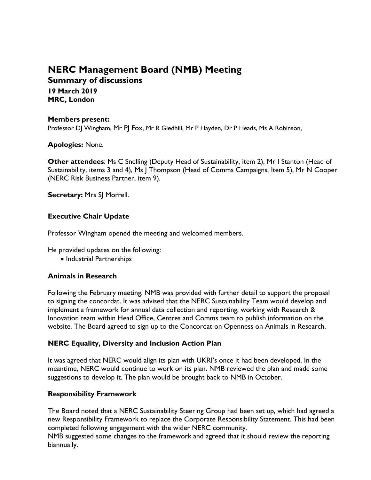# **NERC Management Board (NMB) Meeting Summary of discussions**

**19 March 2019 MRC, London**

## **Members present:**

Professor DJ Wingham, Mr PJ Fox, Mr R Gledhill, Mr P Hayden, Dr P Heads, Ms A Robinson,

**Apologies:** None.

**Other attendees**: Ms C Snelling (Deputy Head of Sustainability, item 2), Mr I Stanton (Head of Sustainability, items 3 and 4), Ms J Thompson (Head of Comms Campaigns, Item 5), Mr N Cooper (NERC Risk Business Partner, item 9).

**Secretary:** Mrs SJ Morrell.

# **Executive Chair Update**

Professor Wingham opened the meeting and welcomed members.

He provided updates on the following:

• Industrial Partnerships

## **Animals in Research**

Following the February meeting, NMB was provided with further detail to support the proposal to signing the concordat. It was advised that the NERC Sustainability Team would develop and implement a framework for annual data collection and reporting, working with Research & Innovation team within Head Office, Centres and Comms team to publish information on the website. The Board agreed to sign up to the Concordat on Openness on Animals in Research.

## **NERC Equality, Diversity and Inclusion Action Plan**

It was agreed that NERC would align its plan with UKRI's once it had been developed. In the meantime, NERC would continue to work on its plan. NMB reviewed the plan and made some suggestions to develop it. The plan would be brought back to NMB in October.

## **Responsibility Framework**

The Board noted that a NERC Sustainability Steering Group had been set up, which had agreed a new Responsibility Framework to replace the Corporate Responsibility Statement. This had been completed following engagement with the wider NERC community.

NMB suggested some changes to the framework and agreed that it should review the reporting biannually.